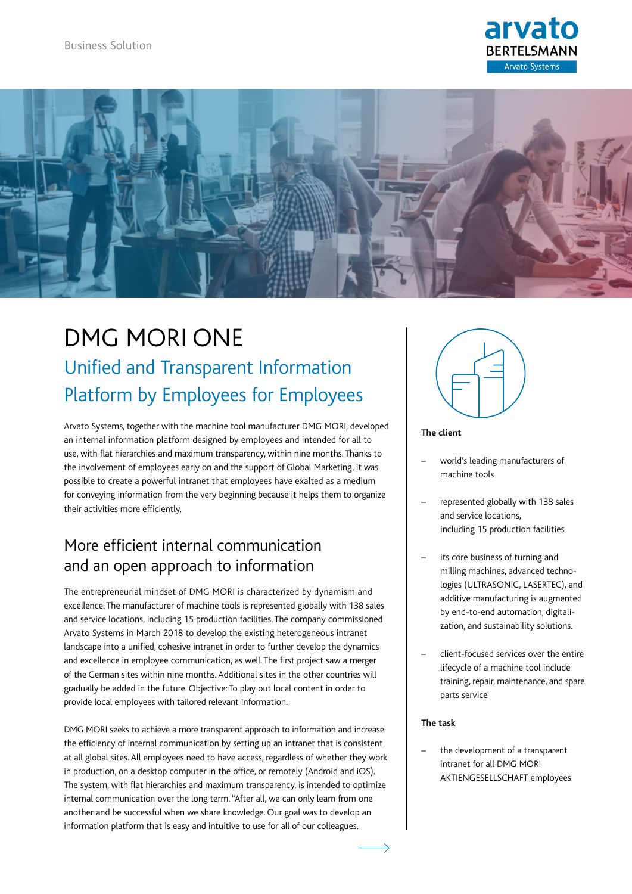



# DMG MORI ONE Unified and Transparent Information Platform by Employees for Employees

Arvato Systems, together with the machine tool manufacturer DMG MORI, developed an internal information platform designed by employees and intended for all to use, with flat hierarchies and maximum transparency, within nine months. Thanks to the involvement of employees early on and the support of Global Marketing, it was possible to create a powerful intranet that employees have exalted as a medium for conveying information from the very beginning because it helps them to organize their activities more efficiently.

### More efficient internal communication and an open approach to information

The entrepreneurial mindset of DMG MORI is characterized by dynamism and excellence. The manufacturer of machine tools is represented globally with 138 sales and service locations, including 15 production facilities. The company commissioned Arvato Systems in March 2018 to develop the existing heterogeneous intranet landscape into a unified, cohesive intranet in order to further develop the dynamics and excellence in employee communication, as well. The first project saw a merger of the German sites within nine months. Additional sites in the other countries will gradually be added in the future. Objective: To play out local content in order to provide local employees with tailored relevant information.

DMG MORI seeks to achieve a more transparent approach to information and increase the efficiency of internal communication by setting up an intranet that is consistent at all global sites. All employees need to have access, regardless of whether they work in production, on a desktop computer in the office, or remotely (Android and iOS). The system, with flat hierarchies and maximum transparency, is intended to optimize internal communication over the long term. "After all, we can only learn from one another and be successful when we share knowledge. Our goal was to develop an information platform that is easy and intuitive to use for all of our colleagues.



#### **The client**

- world's leading manufacturers of machine tools
- represented globally with 138 sales and service locations, including 15 production facilities
- its core business of turning and milling machines, advanced technologies (ULTRASONIC, LASERTEC), and additive manufacturing is augmented by end-to-end automation, digitalization, and sustainability solutions.
- client-focused services over the entire lifecycle of a machine tool include training, repair, maintenance, and spare parts service

#### **The task**

 $\rightarrow$ 

the development of a transparent intranet for all DMG MORI AKTIENGESELLSCHAFT employees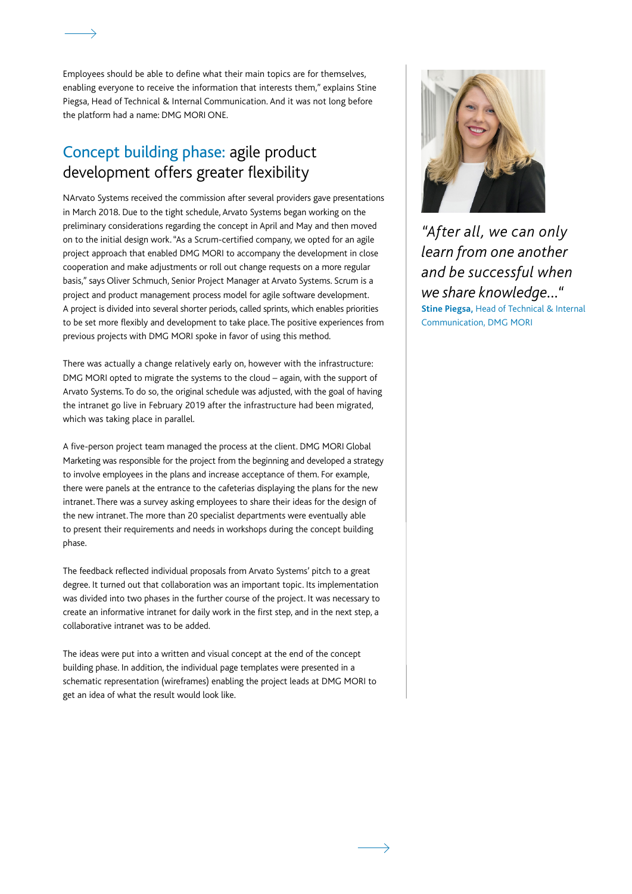Employees should be able to define what their main topics are for themselves, enabling everyone to receive the information that interests them," explains Stine Piegsa, Head of Technical & Internal Communication. And it was not long before the platform had a name: DMG MORI ONE.

### Concept building phase: agile product development offers greater flexibility

NArvato Systems received the commission after several providers gave presentations in March 2018. Due to the tight schedule, Arvato Systems began working on the preliminary considerations regarding the concept in April and May and then moved on to the initial design work. "As a Scrum-certified company, we opted for an agile project approach that enabled DMG MORI to accompany the development in close cooperation and make adjustments or roll out change requests on a more regular basis," says Oliver Schmuch, Senior Project Manager at Arvato Systems. Scrum is a project and product management process model for agile software development. A project is divided into several shorter periods, called sprints, which enables priorities to be set more flexibly and development to take place. The positive experiences from previous projects with DMG MORI spoke in favor of using this method.

There was actually a change relatively early on, however with the infrastructure: DMG MORI opted to migrate the systems to the cloud – again, with the support of Arvato Systems. To do so, the original schedule was adjusted, with the goal of having the intranet go live in February 2019 after the infrastructure had been migrated, which was taking place in parallel.

A five-person project team managed the process at the client. DMG MORI Global Marketing was responsible for the project from the beginning and developed a strategy to involve employees in the plans and increase acceptance of them. For example, there were panels at the entrance to the cafeterias displaying the plans for the new intranet. There was a survey asking employees to share their ideas for the design of the new intranet. The more than 20 specialist departments were eventually able to present their requirements and needs in workshops during the concept building phase.

The feedback reflected individual proposals from Arvato Systems' pitch to a great degree. It turned out that collaboration was an important topic. Its implementation was divided into two phases in the further course of the project. It was necessary to create an informative intranet for daily work in the first step, and in the next step, a collaborative intranet was to be added.

The ideas were put into a written and visual concept at the end of the concept building phase. In addition, the individual page templates were presented in a schematic representation (wireframes) enabling the project leads at DMG MORI to get an idea of what the result would look like.



*"After all, we can only learn from one another and be successful when we share knowledge..."* **Stine Piegsa,** Head of Technical & Internal Communication, DMG MORI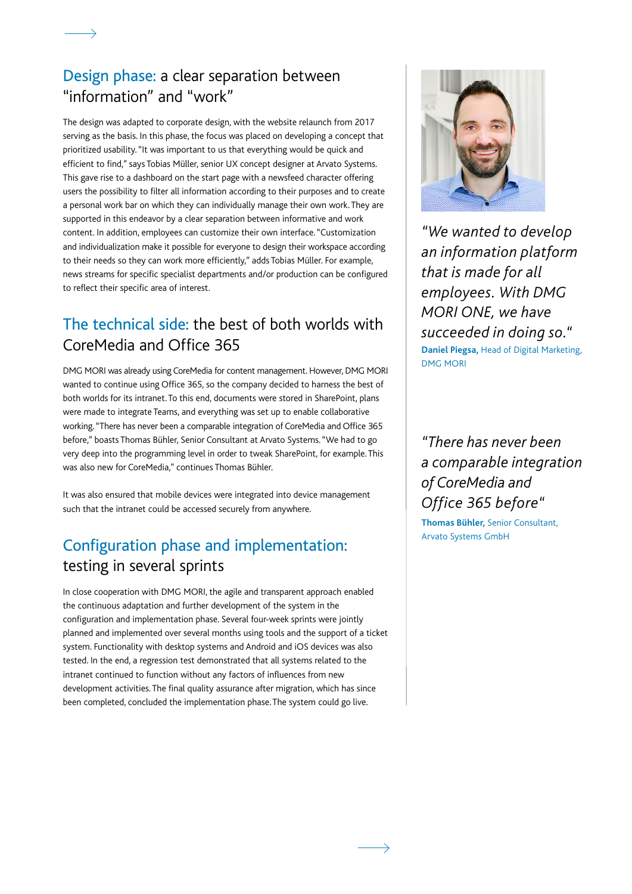#### Design phase: a clear separation between "information" and "work"

The design was adapted to corporate design, with the website relaunch from 2017 serving as the basis. In this phase, the focus was placed on developing a concept that prioritized usability. "It was important to us that everything would be quick and efficient to find," says Tobias Müller, senior UX concept designer at Arvato Systems. This gave rise to a dashboard on the start page with a newsfeed character offering users the possibility to filter all information according to their purposes and to create a personal work bar on which they can individually manage their own work. They are supported in this endeavor by a clear separation between informative and work content. In addition, employees can customize their own interface. "Customization and individualization make it possible for everyone to design their workspace according to their needs so they can work more efficiently," adds Tobias Müller. For example, news streams for specific specialist departments and/or production can be configured to reflect their specific area of interest.

### The technical side: the best of both worlds with CoreMedia and Office 365

DMG MORI was already using CoreMedia for content management. However, DMG MORI wanted to continue using Office 365, so the company decided to harness the best of both worlds for its intranet. To this end, documents were stored in SharePoint, plans were made to integrate Teams, and everything was set up to enable collaborative working. "There has never been a comparable integration of CoreMedia and Office 365 before," boasts Thomas Bühler, Senior Consultant at Arvato Systems. "We had to go very deep into the programming level in order to tweak SharePoint, for example. This was also new for CoreMedia," continues Thomas Bühler.

It was also ensured that mobile devices were integrated into device management such that the intranet could be accessed securely from anywhere.

## Configuration phase and implementation: testing in several sprints

In close cooperation with DMG MORI, the agile and transparent approach enabled the continuous adaptation and further development of the system in the configuration and implementation phase. Several four-week sprints were jointly planned and implemented over several months using tools and the support of a ticket system. Functionality with desktop systems and Android and iOS devices was also tested. In the end, a regression test demonstrated that all systems related to the intranet continued to function without any factors of influences from new development activities. The final quality assurance after migration, which has since been completed, concluded the implementation phase. The system could go live.



*"We wanted to develop an information platform that is made for all employees. With DMG MORI ONE, we have succeeded in doing so."* **Daniel Piegsa,** Head of Digital Marketing, DMG MORI

*"There has never been a comparable integration of CoreMedia and Office 365 before"*

**Thomas Bühler,** Senior Consultant, Arvato Systems GmbH